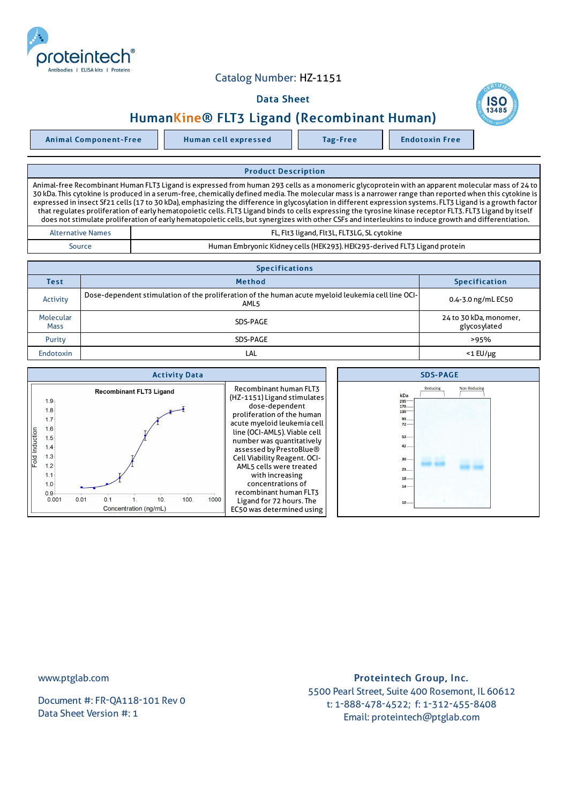# Catalog Number: HZ-1151

## Data Sheet

# HumanKine® FLT3 Ligand (Recombinant Human)

Animal Component-Free Human cell expressed Tag-Free Tag Endotoxin Free

### Product Description

Animal-free Recombinant Human FLT3 Ligand is expressed from human 293 cells as a monomeric glycoprotein with an apparent molecular mass of 24 to 30 kDa. This cytokine is produced in a serum-free, chemically defined media. The molecular mass is a narrower range than reported when this cytokine is expressed in insect Sf21 cells (17 to 30 kDa), emphasizing the difference in glycosylation in different expression systems. FLT3 Ligand is a growth factor that regulates proliferation of early hematopoietic cells. FLT3 Ligand binds to cells expressing the tyrosine kinase receptor FLT3. FLT3 Ligand by itself does not stimulate proliferation of early hematopoietic cells, but synergizes with other CSFs and interleukins to induce growth and differentiation. FL, Flt3 ligand, Flt3L, FLT3LG, SL cytokine

| <b>Alternative Names</b> | FL, Flt3 ligand, Flt3L, FLT3LG, SL cytokine                               |  |
|--------------------------|---------------------------------------------------------------------------|--|
| Source                   | Human Embryonic Kidney cells (HEK293). HEK293-derived FLT3 Ligand protein |  |

| <b>Specifications</b>    |                                                                                                                        |                                        |  |  |
|--------------------------|------------------------------------------------------------------------------------------------------------------------|----------------------------------------|--|--|
| Test                     | <b>Method</b>                                                                                                          | <b>Specification</b>                   |  |  |
| Activity                 | Dose-dependent stimulation of the proliferation of the human acute myeloid leukemia cell line OCI-<br>AML <sub>5</sub> | 0.4-3.0 ng/mL EC50                     |  |  |
| Molecular<br><b>Mass</b> | SDS-PAGE                                                                                                               | 24 to 30 kDa, monomer,<br>glycosylated |  |  |
| Purity                   | SDS-PAGE                                                                                                               | >95%                                   |  |  |
| <b>Endotoxin</b>         | LAL                                                                                                                    | $<$ 1 $E$ U/µg                         |  |  |



www.ptglab.com

Document #: FR-QA118-101 Rev 0 Data Sheet Version #: 1

# Proteintech Group, Inc. 5500 Pearl Street, Suite 400 Rosemont, IL 60612 t: 1-888-478-4522; f: 1-312-455-8408 Email: proteintech@ptglab.com